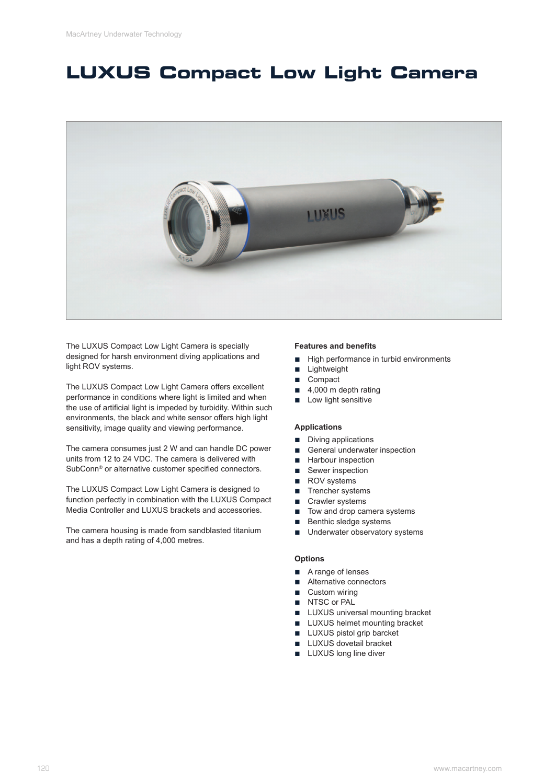## **LUXUS Compact Low Light Camera**



The LUXUS Compact Low Light Camera is specially designed for harsh environment diving applications and light ROV systems.

The LUXUS Compact Low Light Camera offers excellent performance in conditions where light is limited and when the use of artificial light is impeded by turbidity. Within such environments, the black and white sensor offers high light sensitivity, image quality and viewing performance.

The camera consumes just 2 W and can handle DC power units from 12 to 24 VDC. The camera is delivered with SubConn® or alternative customer specified connectors.

The LUXUS Compact Low Light Camera is designed to function perfectly in combination with the LUXUS Compact Media Controller and LUXUS brackets and accessories.

The camera housing is made from sandblasted titanium and has a depth rating of 4,000 metres.

### **Features and benefits**

- **■** High performance in turbid environments
- **■** Lightweight
- Compact
- 4,000 m depth rating
- Low light sensitive

## **Applications**

- Diving applications
- General underwater inspection
- Harbour inspection
- Sewer inspection
- ROV systems
- **■** Trencher systems
- Crawler systems
- **■** Tow and drop camera systems
- **■** Benthic sledge systems
- Underwater observatory systems

## **Options**

- A range of lenses
- Alternative connectors
- Custom wiring
- NTSC or PAL
- LUXUS universal mounting bracket
- **■** LUXUS helmet mounting bracket
- LUXUS pistol grip barcket
- **■** LUXUS dovetail bracket
- LUXUS long line diver